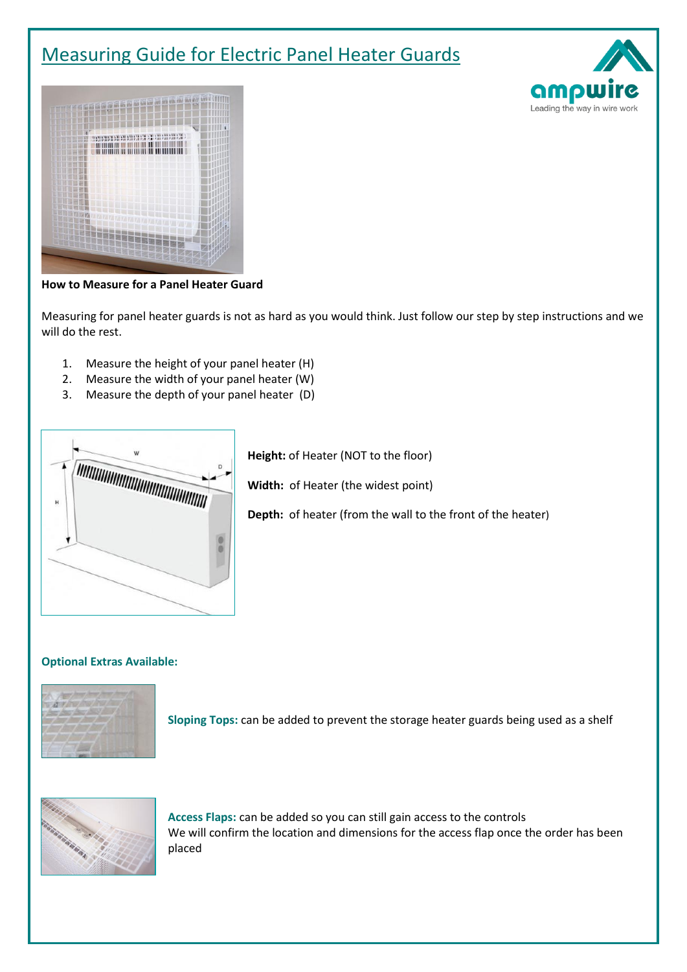# Measuring Guide for Electric Panel Heater Guards





#### **How to Measure for a Panel Heater Guard**

Measuring for panel heater guards is not as hard as you would think. Just follow our step by step instructions and we will do the rest.

- 1. Measure the height of your panel heater (H)
- 2. Measure the width of your panel heater (W)
- 3. Measure the depth of your panel heater (D)



**Height:** of Heater (NOT to the floor)

**Width:** of Heater (the widest point)

**Depth:** of heater (from the wall to the front of the heater)

#### **Optional Extras Available:**



**Sloping Tops:** can be added to prevent the storage heater guards being used as a shelf



**Access Flaps:** can be added so you can still gain access to the controls We will confirm the location and dimensions for the access flap once the order has been placed